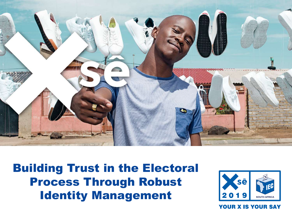

Building Trust in the Electoral Process Through Robust Identity Management

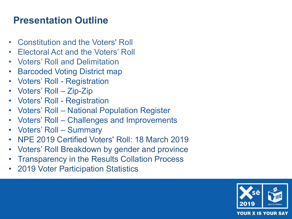# **Presentation Outline**

- Constitution and the Voters' Roll
- Electoral Act and the Voters' Roll
- Voters' Roll and Delimitation
- Barcoded Voting District map
- Voters' Roll Registration
- Voters' Roll Zip-Zip
- Voters' Roll Registration
- Voters' Roll National Population Register
- Voters' Roll Challenges and Improvements
- Voters' Roll Summary
- NPE 2019 Certified Voters' Roll: 18 March 2019
- Voters' Roll Breakdown by gender and province
- Transparency in the Results Collation Process
- 2019 Voter Participation Statistics

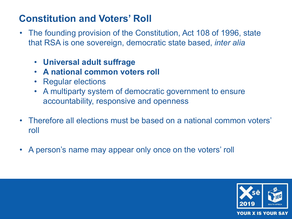# **Constitution and Voters' Roll**

- The founding provision of the Constitution, Act 108 of 1996, state that RSA is one sovereign, democratic state based, *inter alia* 
	- **Universal adult suffrage**
	- **A national common voters roll**
	- Regular elections
	- A multiparty system of democratic government to ensure accountability, responsive and openness
- Therefore all elections must be based on a national common voters' roll
- A person's name may appear only once on the voters' roll

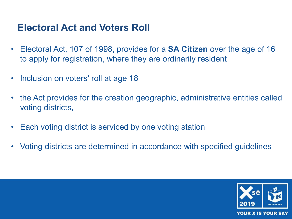#### **Electoral Act and Voters Roll**

- Electoral Act, 107 of 1998, provides for a **SA Citizen** over the age of 16 to apply for registration, where they are ordinarily resident
- Inclusion on voters' roll at age 18
- the Act provides for the creation geographic, administrative entities called voting districts,
- Each voting district is serviced by one voting station
- Voting districts are determined in accordance with specified guidelines

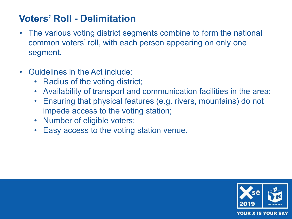# **Voters' Roll - Delimitation**

- The various voting district segments combine to form the national common voters' roll, with each person appearing on only one segment.
- Guidelines in the Act include:
	- Radius of the voting district;
	- Availability of transport and communication facilities in the area;
	- Ensuring that physical features (e.g. rivers, mountains) do not impede access to the voting station;
	- Number of eligible voters;
	- Easy access to the voting station venue.

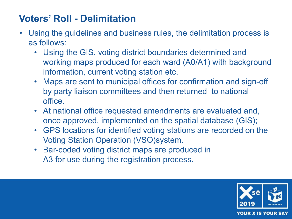# **Voters' Roll - Delimitation**

- Using the guidelines and business rules, the delimitation process is as follows:
	- Using the GIS, voting district boundaries determined and working maps produced for each ward (A0/A1) with background information, current voting station etc.
	- Maps are sent to municipal offices for confirmation and sign-off by party liaison committees and then returned to national office.
	- At national office requested amendments are evaluated and, once approved, implemented on the spatial database (GIS);
	- GPS locations for identified voting stations are recorded on the Voting Station Operation (VSO)system.
	- Bar-coded voting district maps are produced in A3 for use during the registration process.

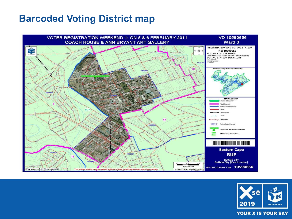#### **Barcoded Voting District map**



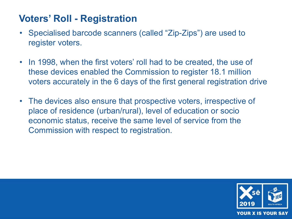### **Voters' Roll - Registration**

- Specialised barcode scanners (called "Zip-Zips") are used to register voters.
- In 1998, when the first voters' roll had to be created, the use of these devices enabled the Commission to register 18.1 million voters accurately in the 6 days of the first general registration drive
- The devices also ensure that prospective voters, irrespective of place of residence (urban/rural), level of education or socio economic status, receive the same level of service from the Commission with respect to registration.

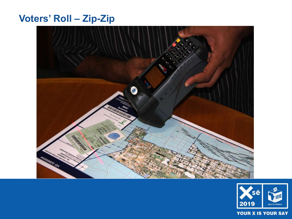## **Voters' Roll – Zip-Zip**



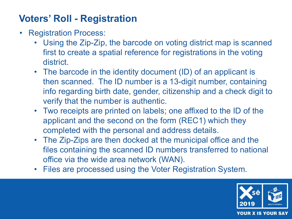# **Voters' Roll - Registration**

- Registration Process:
	- Using the Zip-Zip, the barcode on voting district map is scanned first to create a spatial reference for registrations in the voting district.
	- The barcode in the identity document (ID) of an applicant is then scanned. The ID number is a 13-digit number, containing info regarding birth date, gender, citizenship and a check digit to verify that the number is authentic.
	- Two receipts are printed on labels; one affixed to the ID of the applicant and the second on the form (REC1) which they completed with the personal and address details.
	- The Zip-Zips are then docked at the municipal office and the files containing the scanned ID numbers transferred to national office via the wide area network (WAN).
	- Files are processed using the Voter Registration System.

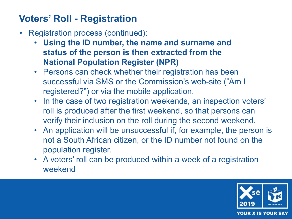# **Voters' Roll - Registration**

- Registration process (continued):
	- **Using the ID number, the name and surname and status of the person is then extracted from the National Population Register (NPR)**
	- Persons can check whether their registration has been successful via SMS or the Commission's web-site ("Am I registered?") or via the mobile application.
	- In the case of two registration weekends, an inspection voters' roll is produced after the first weekend, so that persons can verify their inclusion on the roll during the second weekend.
	- An application will be unsuccessful if, for example, the person is not a South African citizen, or the ID number not found on the population register.
	- A voters' roll can be produced within a week of a registration weekend

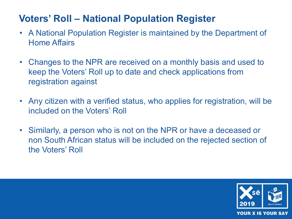# **Voters' Roll – National Population Register**

- A National Population Register is maintained by the Department of Home Affairs
- Changes to the NPR are received on a monthly basis and used to keep the Voters' Roll up to date and check applications from registration against
- Any citizen with a verified status, who applies for registration, will be included on the Voters' Roll
- Similarly, a person who is not on the NPR or have a deceased or non South African status will be included on the rejected section of the Voters' Roll

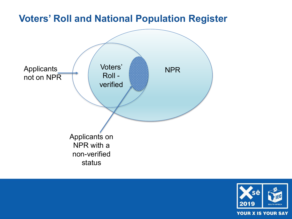

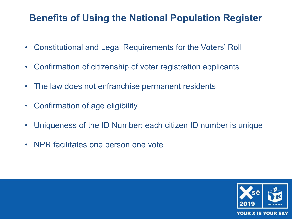### **Benefits of Using the National Population Register**

- Constitutional and Legal Requirements for the Voters' Roll
- Confirmation of citizenship of voter registration applicants
- The law does not enfranchise permanent residents
- Confirmation of age eligibility
- Uniqueness of the ID Number: each citizen ID number is unique
- NPR facilitates one person one vote

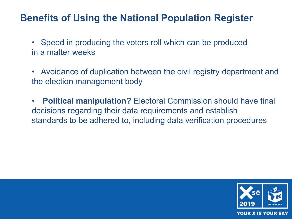#### **Benefits of Using the National Population Register**

- Speed in producing the voters roll which can be produced in a matter weeks
- Avoidance of duplication between the civil registry department and the election management body
- **Political manipulation?** Electoral Commission should have final decisions regarding their data requirements and establish standards to be adhered to, including data verification procedures

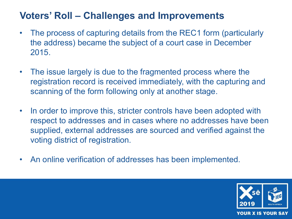# **Voters' Roll – Challenges and Improvements**

- The process of capturing details from the REC1 form (particularly the address) became the subject of a court case in December 2015.
- The issue largely is due to the fragmented process where the registration record is received immediately, with the capturing and scanning of the form following only at another stage.
- In order to improve this, stricter controls have been adopted with respect to addresses and in cases where no addresses have been supplied, external addresses are sourced and verified against the voting district of registration.
- An online verification of addresses has been implemented.

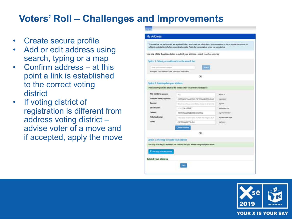#### **Voters' Roll – Challenges and Improvements**

- Create secure profile
- Add or edit address using search, typing or a map
- Confirm address at this point a link is established to the correct voting district
- If voting district of registration is different from address voting district – advise voter of a move and if accepted, apply the move

|                                                       | Use one of the 3 options below to submit your address - select, insert or use map         |                        |
|-------------------------------------------------------|-------------------------------------------------------------------------------------------|------------------------|
|                                                       |                                                                                           |                        |
| Option 1: Select your address from the search list    |                                                                                           |                        |
| Eime your address to search.                          |                                                                                           |                        |
| Example: 7045 berkhaya cres, cerchation, south adoca. |                                                                                           |                        |
|                                                       | OR.                                                                                       |                        |
| Option 2: Insert/update your address                  |                                                                                           |                        |
|                                                       | Please insertiupdate the details of the address where you ordinarily resube below         |                        |
|                                                       |                                                                                           |                        |
| That rearriber (massmane)                             | 102                                                                                       | egant to               |
| Complex name it spreams!                              | CRESCENT GARDENS PIETERWARTZBURG C                                                        | <b>AZIABRIT</b>        |
| Number:                                               | Street ran at follows he or Status follow ran at farm held                                | 92756                  |
| Street name:                                          | <b>TO LOOP STREET</b>                                                                     | spierres Dec           |
| Safaarb:                                              | PIETERMARY/ZEURO CENTRAL                                                                  | C e'y Amientost tentir |
| Tribal authority:                                     | Tribal area of administrate in artists the shippi is four-                                | 4.0 ISBN 1-TODAY       |
| Town:                                                 | <b>PIETERIMARITZBURG</b>                                                                  | Aphere                 |
|                                                       | Contam Address                                                                            |                        |
|                                                       | OR                                                                                        |                        |
| Option 3: Use map to locate your address              |                                                                                           |                        |
|                                                       |                                                                                           |                        |
|                                                       | Use map to locate your address if you could not find your address using the options above |                        |
| C Use map to locate address                           |                                                                                           |                        |
|                                                       |                                                                                           |                        |

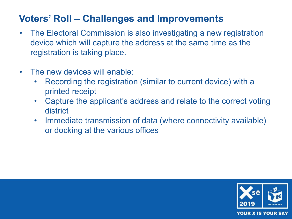# **Voters' Roll – Challenges and Improvements**

- The Electoral Commission is also investigating a new registration device which will capture the address at the same time as the registration is taking place.
- The new devices will enable:
	- Recording the registration (similar to current device) with a printed receipt
	- Capture the applicant's address and relate to the correct voting district
	- Immediate transmission of data (where connectivity available) or docking at the various offices

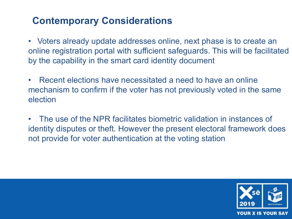# **Contemporary Considerations**

• Voters already update addresses online, next phase is to create an online registration portal with sufficient safeguards. This will be facilitated by the capability in the smart card identity document

• Recent elections have necessitated a need to have an online mechanism to confirm if the voter has not previously voted in the same election

• The use of the NPR facilitates biometric validation in instances of identity disputes or theft. However the present electoral framework does not provide for voter authentication at the voting station

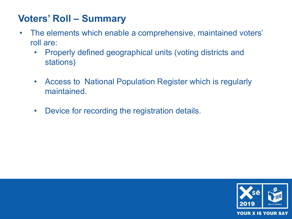# **Voters' Roll – Summary**

- The elements which enable a comprehensive, maintained voters' roll are:
	- Properly defined geographical units (voting districts and stations)
	- Access to National Population Register which is regularly maintained.
	- Device for recording the registration details.

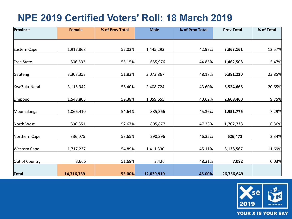# **NPE 2019 Certified Voters' Roll: 18 March 2019**

| Province            | <b>Female</b> | % of Prov Total | <b>Male</b> | % of Prov Total | <b>Prov Total</b> | % of Total |
|---------------------|---------------|-----------------|-------------|-----------------|-------------------|------------|
|                     |               |                 |             |                 |                   |            |
| Eastern Cape        | 1,917,868     | 57.03%          | 1,445,293   | 42.97%          | 3,363,161         | 12.57%     |
| Free State          | 806,532       | 55.15%          | 655,976     | 44.85%          | 1,462,508         | 5.47%      |
| Gauteng             | 3,307,353     | 51.83%          | 3,073,867   | 48.17%          | 6,381,220         | 23.85%     |
| KwaZulu-Natal       | 3,115,942     | 56.40%          | 2,408,724   | 43.60%          | 5,524,666         | 20.65%     |
| Limpopo             | 1,548,805     | 59.38%          | 1,059,655   | 40.62%          | 2,608,460         | 9.75%      |
| Mpumalanga          | 1,066,410     | 54.64%          | 885,366     | 45.36%          | 1,951,776         | 7.29%      |
| North West          | 896,851       | 52.67%          | 805,877     | 47.33%          | 1,702,728         | 6.36%      |
| Northern Cape       | 336,075       | 53.65%          | 290,396     | 46.35%          | 626,471           | 2.34%      |
| <b>Western Cape</b> | 1,717,237     | 54.89%          | 1,411,330   | 45.11%          | 3,128,567         | 11.69%     |
| Out of Country      | 3,666         | 51.69%          | 3,426       | 48.31%          | 7,092             | 0.03%      |
| <b>Total</b>        | 14,716,739    | 55.00%          | 12,039,910  | 45.00%          | 26,756,649        |            |

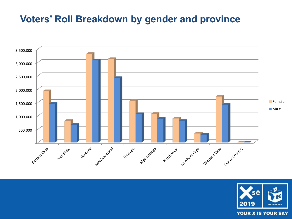### **Voters' Roll Breakdown by gender and province**



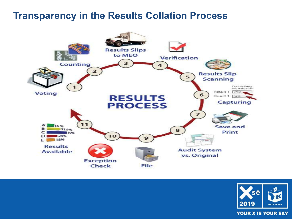#### **Transparency in the Results Collation Process**



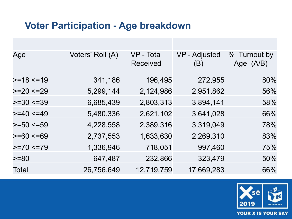#### **Voter Participation - Age breakdown**

| Age             | Voters' Roll (A) | VP - Total<br><b>Received</b> | <b>VP</b> - Adjusted<br>(B) | % Turnout by<br>Age (A/B) |
|-----------------|------------------|-------------------------------|-----------------------------|---------------------------|
| $>=18$ <=19     | 341,186          | 196,495                       | 272,955                     | 80%                       |
| $>=20 < 29$     | 5,299,144        | 2,124,986                     | 2,951,862                   | 56%                       |
| $>=30 < 39$     | 6,685,439        | 2,803,313                     | 3,894,141                   | 58%                       |
| $>=$ 40 $<=$ 49 | 5,480,336        | 2,621,102                     | 3,641,028                   | 66%                       |
| $>=50 \le 59$   | 4,228,558        | 2,389,316                     | 3,319,049                   | 78%                       |
| $>= 60 \le 69$  | 2,737,553        | 1,633,630                     | 2,269,310                   | 83%                       |
| $>=70 < 79$     | 1,336,946        | 718,051                       | 997,460                     | 75%                       |
| $>= 80$         | 647,487          | 232,866                       | 323,479                     | 50%                       |
| Total           | 26,756,649       | 12,719,759                    | 17,669,283                  | 66%                       |

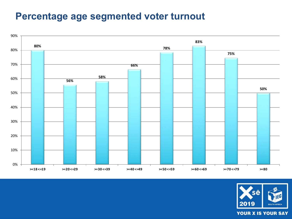#### **Percentage age segmented voter turnout**



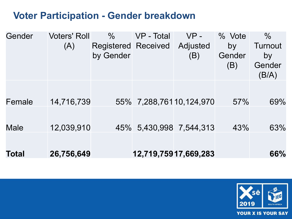### **Voter Participation - Gender breakdown**

| Gender       | <b>Voters' Roll</b> | $\%$                       | VP - Total | $VP -$                  | % Vote | $\frac{0}{0}$ |
|--------------|---------------------|----------------------------|------------|-------------------------|--------|---------------|
|              | (A)                 | <b>Registered Received</b> |            | Adjusted                | by     | Turnout       |
|              |                     | by Gender                  |            | (B)                     | Gender | by            |
|              |                     |                            |            |                         | (B)    | Gender        |
|              |                     |                            |            |                         |        | (B/A)         |
|              |                     |                            |            |                         |        |               |
|              |                     |                            |            |                         |        |               |
| Female       | 14,716,739          |                            |            | 55% 7,288,76110,124,970 | 57%    | 69%           |
|              |                     |                            |            |                         |        |               |
| Male         | 12,039,910          |                            |            | 45% 5,430,998 7,544,313 | 43%    | 63%           |
|              |                     |                            |            |                         |        |               |
|              |                     |                            |            |                         |        |               |
| <b>Total</b> | 26,756,649          |                            |            | 12,719,75917,669,283    |        | 66%           |